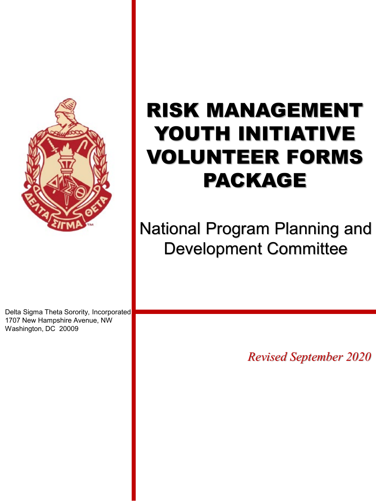

# RISK MANAGEMENT YOUTH INITIATIVE VOLUNTEER FORMS PACKAGE

National Program Planning and Development Committee

Delta Sigma Theta Sorority, Incorporated 1707 New Hampshire Avenue, NW Washington, DC 20009

*Revised September 2020*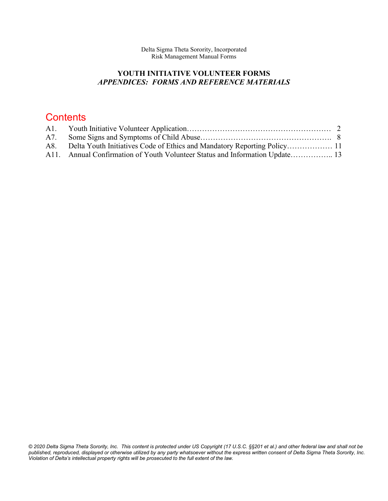Delta Sigma Theta Sorority, Incorporated Risk Management Manual Forms

#### **YOUTH INITIATIVE VOLUNTEER FORMS** *APPENDICES: FORMS AND REFERENCE MATERIALS*

### **Contents**

| A8. Delta Youth Initiatives Code of Ethics and Mandatory Reporting Policy 11 |  |
|------------------------------------------------------------------------------|--|
| A11. Annual Confirmation of Youth Volunteer Status and Information Update 13 |  |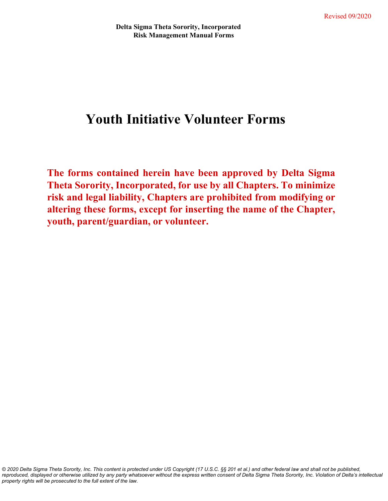## **Youth Initiative Volunteer Forms**

**The forms contained herein have been approved by Delta Sigma Theta Sorority, Incorporated, for use by all Chapters. To minimize risk and legal liability, Chapters are prohibited from modifying or altering these forms, except for inserting the name of the Chapter, youth, parent/guardian, or volunteer.**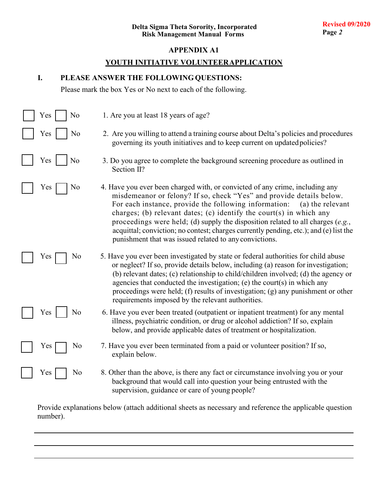#### **YOUTH INITIATIVE VOLUNTEERAPPLICATION**

#### **I. PLEASE ANSWER THE FOLLOWING QUESTIONS:**

Please mark the box Yes or No next to each of the following.

| Yes | 1. Are you at least 18 years of age?<br>No                                                                                                                                                                                                                                                                                                                                                                                                                                                                                                             |
|-----|--------------------------------------------------------------------------------------------------------------------------------------------------------------------------------------------------------------------------------------------------------------------------------------------------------------------------------------------------------------------------------------------------------------------------------------------------------------------------------------------------------------------------------------------------------|
| Yes | No<br>2. Are you willing to attend a training course about Delta's policies and procedures<br>governing its youth initiatives and to keep current on updated policies?                                                                                                                                                                                                                                                                                                                                                                                 |
| Yes | No<br>3. Do you agree to complete the background screening procedure as outlined in<br>Section II?                                                                                                                                                                                                                                                                                                                                                                                                                                                     |
| Yes | 4. Have you ever been charged with, or convicted of any crime, including any<br>No<br>misdemeanor or felony? If so, check "Yes" and provide details below.<br>For each instance, provide the following information:<br>(a) the relevant<br>charges; (b) relevant dates; (c) identify the court(s) in which any<br>proceedings were held; (d) supply the disposition related to all charges $(e.g.,$<br>acquittal; conviction; no contest; charges currently pending, etc.); and (e) list the<br>punishment that was issued related to any convictions. |
| Yes | 5. Have you ever been investigated by state or federal authorities for child abuse<br>No<br>or neglect? If so, provide details below, including (a) reason for investigation;<br>(b) relevant dates; (c) relationship to child/children involved; (d) the agency or<br>agencies that conducted the investigation; (e) the court(s) in which any<br>proceedings were held; (f) results of investigation; (g) any punishment or other<br>requirements imposed by the relevant authorities.                                                               |
| Yes | No<br>6. Have you ever been treated (outpatient or inpatient treatment) for any mental<br>illness, psychiatric condition, or drug or alcohol addiction? If so, explain<br>below, and provide applicable dates of treatment or hospitalization.                                                                                                                                                                                                                                                                                                         |
| Yes | 7. Have you ever been terminated from a paid or volunteer position? If so,<br>No<br>explain below.                                                                                                                                                                                                                                                                                                                                                                                                                                                     |
| Yes | 8. Other than the above, is there any fact or circumstance involving you or your<br>No<br>background that would call into question your being entrusted with the<br>supervision, guidance or care of young people?                                                                                                                                                                                                                                                                                                                                     |

Provide explanations below (attach additional sheets as necessary and reference the applicable question number).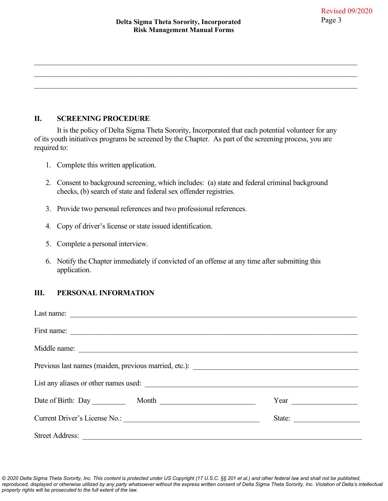$\mathcal{L}_\mathcal{L} = \{ \mathcal{L}_\mathcal{L} = \{ \mathcal{L}_\mathcal{L} = \{ \mathcal{L}_\mathcal{L} = \{ \mathcal{L}_\mathcal{L} = \{ \mathcal{L}_\mathcal{L} = \{ \mathcal{L}_\mathcal{L} = \{ \mathcal{L}_\mathcal{L} = \{ \mathcal{L}_\mathcal{L} = \{ \mathcal{L}_\mathcal{L} = \{ \mathcal{L}_\mathcal{L} = \{ \mathcal{L}_\mathcal{L} = \{ \mathcal{L}_\mathcal{L} = \{ \mathcal{L}_\mathcal{L} = \{ \mathcal{L}_\mathcal{$ 

 $\mathcal{L}_\mathcal{L} = \{ \mathcal{L}_\mathcal{L} = \{ \mathcal{L}_\mathcal{L} = \{ \mathcal{L}_\mathcal{L} = \{ \mathcal{L}_\mathcal{L} = \{ \mathcal{L}_\mathcal{L} = \{ \mathcal{L}_\mathcal{L} = \{ \mathcal{L}_\mathcal{L} = \{ \mathcal{L}_\mathcal{L} = \{ \mathcal{L}_\mathcal{L} = \{ \mathcal{L}_\mathcal{L} = \{ \mathcal{L}_\mathcal{L} = \{ \mathcal{L}_\mathcal{L} = \{ \mathcal{L}_\mathcal{L} = \{ \mathcal{L}_\mathcal{$ 

#### **II. SCREENING PROCEDURE**

It is the policy of Delta Sigma Theta Sorority, Incorporated that each potential volunteer for any of its youth initiatives programs be screened by the Chapter. As part of the screening process, you are required to:

- 1. Complete this written application.
- 2. Consent to background screening, which includes: (a) state and federal criminal background checks, (b) search of state and federal sex offender registries.
- 3. Provide two personal references and two professional references.
- 4. Copy of driver's license or state issued identification.
- 5. Complete a personal interview.
- 6. Notify the Chapter immediately if convicted of an offense at any time after submitting this application.

#### **III. PERSONAL INFORMATION**

| List any aliases or other names used:                                                                                                            |        |
|--------------------------------------------------------------------------------------------------------------------------------------------------|--------|
|                                                                                                                                                  | Year   |
| Current Driver's License No.:                                                                                                                    | State: |
| <b>Street Address:</b><br><u> 2008 - Paris Amerikaanse politike (het ook die stel van die stel van die stel van die stel van die stel van di</u> |        |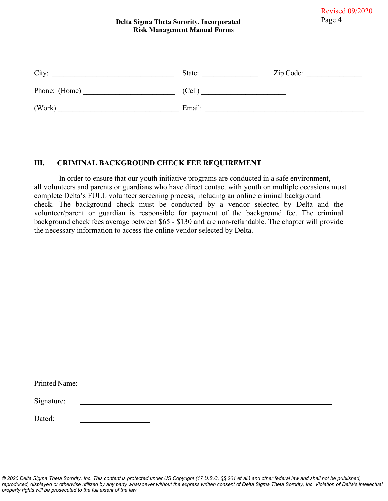#### **Delta Sigma Theta Sorority, Incorporated** Page 4 **Risk Management Manual Forms**

| City:         | State: | Zip Code: |
|---------------|--------|-----------|
| Phone: (Home) | (Cell) |           |
| (Work)        | Email: |           |

#### **III. CRIMINAL BACKGROUND CHECK FEE REQUIREMENT**

In order to ensure that our youth initiative programs are conducted in a safe environment, all volunteers and parents or guardians who have direct contact with youth on multiple occasions must complete Delta's FULL volunteer screening process, including an online criminal background check. The background check must be conducted by a vendor selected by Delta and the volunteer/parent or guardian is responsible for payment of the background fee. The criminal background check fees average between \$65 - \$130 and are non-refundable. The chapter will provide the necessary information to access the online vendor selected by Delta.

| Printed Name: |  |  |
|---------------|--|--|
| Signature:    |  |  |
| Dated:        |  |  |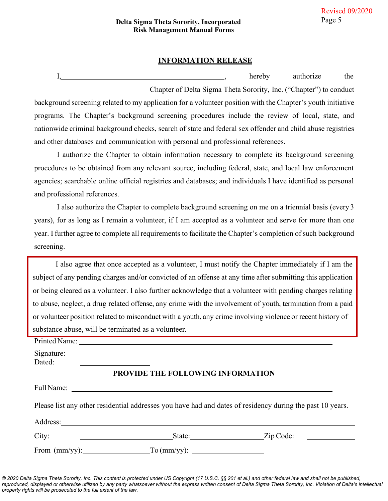#### **INFORMATION RELEASE**

I, hereby authorize the Chapter of Delta Sigma Theta Sorority, Inc. ("Chapter") to conduct background screening related to my application for a volunteer position with the Chapter's youth initiative programs. The Chapter's background screening procedures include the review of local, state, and nationwide criminal background checks, search of state and federal sex offender and child abuse registries and other databases and communication with personal and professional references.

I authorize the Chapter to obtain information necessary to complete its background screening procedures to be obtained from any relevant source, including federal, state, and local law enforcement agencies; searchable online official registries and databases; and individuals I have identified as personal and professional references.

I also authorize the Chapter to complete background screening on me on a triennial basis (every 3 years), for as long as I remain a volunteer, if I am accepted as a volunteer and serve for more than one year. I further agree to complete all requirements to facilitate the Chapter's completion of such background screening.

I also agree that once accepted as a volunteer, I must notify the Chapter immediately if I am the subject of any pending charges and/or convicted of an offense at any time after submitting this application or being cleared as a volunteer. I also further acknowledge that a volunteer with pending charges relating to abuse, neglect, a drug related offense, any crime with the involvement of youth, termination from a paid or volunteer position related to misconduct with a youth, any crime involving violence or recent history of substance abuse, will be terminated as a volunteer.

| Signature:<br>Dated: |                                                                                                           |                                                                                                                                   |
|----------------------|-----------------------------------------------------------------------------------------------------------|-----------------------------------------------------------------------------------------------------------------------------------|
|                      | PROVIDE THE FOLLOWING INFORMATION                                                                         |                                                                                                                                   |
|                      |                                                                                                           |                                                                                                                                   |
|                      | Please list any other residential addresses you have had and dates of residency during the past 10 years. |                                                                                                                                   |
|                      |                                                                                                           |                                                                                                                                   |
| City:                | <u> 1989 - Andrea Brand, Amerikaansk politiker (</u>                                                      | Zip Code:<br><u> 1989 - Jan Stein Stein Stein Stein Stein Stein Stein Stein Stein Stein Stein Stein Stein Stein Stein Stein S</u> |
|                      | $\Gamma$ o (mm/yy): $\frac{1}{\Gamma}$                                                                    |                                                                                                                                   |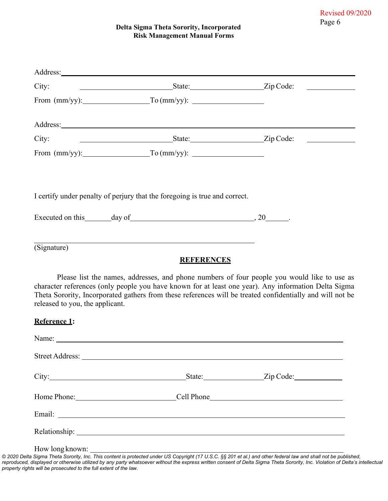#### **Delta Sigma Theta Sorority, Incorporated Risk Management Manual Forms**

|                                 | Address: <u>example and the set of the set of the set of the set of the set of the set of the set of the set of the set of the set of the set of the set of the set of the set of the set of the set of the set of the set of th</u> |                                                                                                                                                                                                                                                                                                                  |
|---------------------------------|--------------------------------------------------------------------------------------------------------------------------------------------------------------------------------------------------------------------------------------|------------------------------------------------------------------------------------------------------------------------------------------------------------------------------------------------------------------------------------------------------------------------------------------------------------------|
| City:                           |                                                                                                                                                                                                                                      | State: Zip Code:                                                                                                                                                                                                                                                                                                 |
|                                 | From $(mm/yy)$ : $\hspace{2.6cm}$ To $(mm/yy)$ :                                                                                                                                                                                     |                                                                                                                                                                                                                                                                                                                  |
|                                 | Address: <u>Address</u> and the contract of the contract of the contract of the contract of the contract of the contract of the contract of the contract of the contract of the contract of the contract of the contract of the con  |                                                                                                                                                                                                                                                                                                                  |
| City:                           |                                                                                                                                                                                                                                      | State: <u>Cip</u> Code:                                                                                                                                                                                                                                                                                          |
|                                 | From $(mm/yy)$ : $\hspace{2.6cm}$ To $(mm/yy)$ : $\hspace{2.6cm}$                                                                                                                                                                    |                                                                                                                                                                                                                                                                                                                  |
|                                 | I certify under penalty of perjury that the foregoing is true and correct.                                                                                                                                                           |                                                                                                                                                                                                                                                                                                                  |
|                                 |                                                                                                                                                                                                                                      |                                                                                                                                                                                                                                                                                                                  |
| (Signature)                     | <b>REFERENCES</b>                                                                                                                                                                                                                    |                                                                                                                                                                                                                                                                                                                  |
| released to you, the applicant. |                                                                                                                                                                                                                                      | Please list the names, addresses, and phone numbers of four people you would like to use as<br>character references (only people you have known for at least one year). Any information Delta Sigma<br>Theta Sorority, Incorporated gathers from these references will be treated confidentially and will not be |
| <b>Reference 1:</b>             |                                                                                                                                                                                                                                      |                                                                                                                                                                                                                                                                                                                  |
|                                 |                                                                                                                                                                                                                                      |                                                                                                                                                                                                                                                                                                                  |
|                                 |                                                                                                                                                                                                                                      |                                                                                                                                                                                                                                                                                                                  |
|                                 |                                                                                                                                                                                                                                      |                                                                                                                                                                                                                                                                                                                  |
|                                 |                                                                                                                                                                                                                                      |                                                                                                                                                                                                                                                                                                                  |
|                                 |                                                                                                                                                                                                                                      |                                                                                                                                                                                                                                                                                                                  |
|                                 |                                                                                                                                                                                                                                      |                                                                                                                                                                                                                                                                                                                  |

How long known: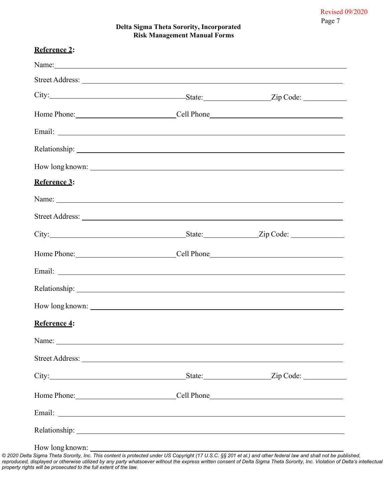Revised 09/2020 Page 7

#### **Delta Sigma Theta Sorority, Incorporated Risk Management Manual Forms**

|              | Name: Name: Name: Name: Name: Name: Name: Name: Name: Name: Name: Name: Name: Name: Name: Name: Name: Name: Name: Name: Name: Name: Name: Name: Name: Name: Name: Name: Name: Name: Name: Name: Name: Name: Name: Name: Name:       |  |
|--------------|-------------------------------------------------------------------------------------------------------------------------------------------------------------------------------------------------------------------------------------|--|
|              |                                                                                                                                                                                                                                     |  |
|              |                                                                                                                                                                                                                                     |  |
|              |                                                                                                                                                                                                                                     |  |
|              | Email: <u>Alexander Communication</u>                                                                                                                                                                                               |  |
|              |                                                                                                                                                                                                                                     |  |
|              |                                                                                                                                                                                                                                     |  |
| Reference 3: |                                                                                                                                                                                                                                     |  |
|              |                                                                                                                                                                                                                                     |  |
|              |                                                                                                                                                                                                                                     |  |
|              |                                                                                                                                                                                                                                     |  |
|              |                                                                                                                                                                                                                                     |  |
|              | Email: experimental contract to the contract of the contract of the contract of the contract of the contract of the contract of the contract of the contract of the contract of the contract of the contract of the contract o      |  |
|              |                                                                                                                                                                                                                                     |  |
|              |                                                                                                                                                                                                                                     |  |
| Reference 4: |                                                                                                                                                                                                                                     |  |
|              |                                                                                                                                                                                                                                     |  |
|              |                                                                                                                                                                                                                                     |  |
|              | City: <u>City:</u> City: City: City: City: City: City: City: City: City: City: City: City: City: City: City: City: City: City: City: City: City: City: City: City: City: City: City: City: City: City: City: City: City: City: City |  |
|              |                                                                                                                                                                                                                                     |  |
|              | Email: Natural Communication of the Communication of the Communication of the Communication of the Communication of the Communication of the Communication of the Communication of the Communication of the Communication of t      |  |
|              |                                                                                                                                                                                                                                     |  |

How long known: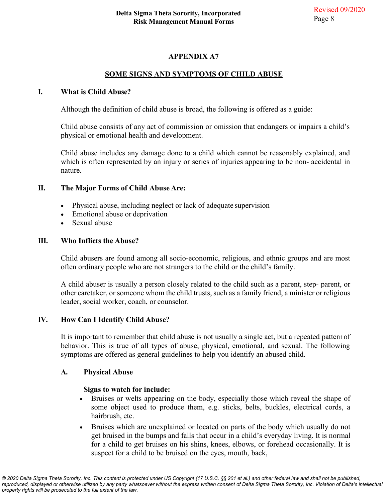#### **SOME SIGNS AND SYMPTOMS OF CHILD ABUSE**

#### **I. What is Child Abuse?**

Although the definition of child abuse is broad, the following is offered as a guide:

Child abuse consists of any act of commission or omission that endangers or impairs a child's physical or emotional health and development.

Child abuse includes any damage done to a child which cannot be reasonably explained, and which is often represented by an injury or series of injuries appearing to be non- accidental in nature.

#### **II. The Major Forms of Child Abuse Are:**

- Physical abuse, including neglect or lack of adequate supervision
- Emotional abuse or deprivation
- Sexual abuse

#### **III. Who Inflicts the Abuse?**

Child abusers are found among all socio-economic, religious, and ethnic groups and are most often ordinary people who are not strangers to the child or the child's family.

A child abuser is usually a person closely related to the child such as a parent, step- parent, or other caretaker, or someone whom the child trusts, such as a family friend, a minister or religious leader, social worker, coach, or counselor.

#### **IV. How Can I Identify Child Abuse?**

It is important to remember that child abuse is not usually a single act, but a repeated pattern of behavior. This is true of all types of abuse, physical, emotional, and sexual. The following symptoms are offered as general guidelines to help you identify an abused child.

#### **A. Physical Abuse**

#### **Signs to watch for include:**

- Bruises or welts appearing on the body, especially those which reveal the shape of some object used to produce them, e.g. sticks, belts, buckles, electrical cords, a hairbrush, etc.
- Bruises which are unexplained or located on parts of the body which usually do not get bruised in the bumps and falls that occur in a child's everyday living. It is normal for a child to get bruises on his shins, knees, elbows, or forehead occasionally. It is suspect for a child to be bruised on the eyes, mouth, back,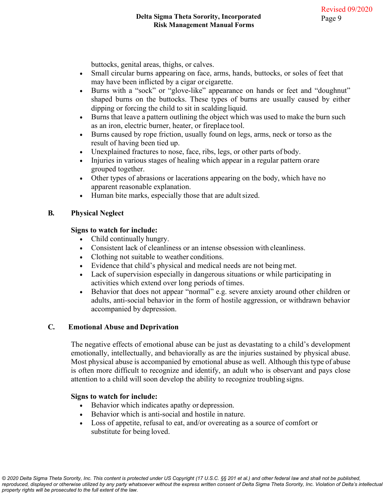buttocks, genital areas, thighs, or calves.

- Small circular burns appearing on face, arms, hands, buttocks, or soles of feet that may have been inflicted by a cigar or cigarette.
- Burns with a "sock" or "glove-like" appearance on hands or feet and "doughnut" shaped burns on the buttocks. These types of burns are usually caused by either dipping or forcing the child to sit in scalding liquid.
- Burns that leave a pattern outlining the object which was used to make the burn such as an iron, electric burner, heater, or fireplace tool.
- Burns caused by rope friction, usually found on legs, arms, neck or torso as the result of having been tied up.
- Unexplained fractures to nose, face, ribs, legs, or other parts of body.
- Injuries in various stages of healing which appear in a regular pattern or are grouped together.
- Other types of abrasions or lacerations appearing on the body, which have no apparent reasonable explanation.
- Human bite marks, especially those that are adult sized.

#### **B. Physical Neglect**

#### **Signs to watch for include:**

- Child continually hungry.
- Consistent lack of cleanliness or an intense obsession with cleanliness.
- Clothing not suitable to weather conditions.
- Evidence that child's physical and medical needs are not being met.
- Lack of supervision especially in dangerous situations or while participating in activities which extend over long periods of times.
- Behavior that does not appear "normal" e.g. severe anxiety around other children or adults, anti-social behavior in the form of hostile aggression, or withdrawn behavior accompanied by depression.

#### **C. Emotional Abuse and Deprivation**

The negative effects of emotional abuse can be just as devastating to a child's development emotionally, intellectually, and behaviorally as are the injuries sustained by physical abuse. Most physical abuse is accompanied by emotional abuse as well. Although this type of abuse is often more difficult to recognize and identify, an adult who is observant and pays close attention to a child will soon develop the ability to recognize troubling signs.

#### **Signs to watch for include:**

- Behavior which indicates apathy or depression.
- Behavior which is anti-social and hostile in nature.
- Loss of appetite, refusal to eat, and/or overeating as a source of comfort or substitute for being loved.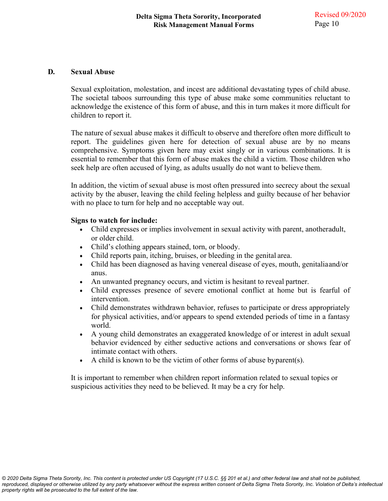#### **D. Sexual Abuse**

Sexual exploitation, molestation, and incest are additional devastating types of child abuse. The societal taboos surrounding this type of abuse make some communities reluctant to acknowledge the existence of this form of abuse, and this in turn makes it more difficult for children to report it.

The nature of sexual abuse makes it difficult to observe and therefore often more difficult to report. The guidelines given here for detection of sexual abuse are by no means comprehensive. Symptoms given here may exist singly or in various combinations. It is essential to remember that this form of abuse makes the child a victim. Those children who seek help are often accused of lying, as adults usually do not want to believe them.

In addition, the victim of sexual abuse is most often pressured into secrecy about the sexual activity by the abuser, leaving the child feeling helpless and guilty because of her behavior with no place to turn for help and no acceptable way out.

#### **Signs to watch for include:**

- Child expresses or implies involvement in sexual activity with parent, another adult, or older child.
- Child's clothing appears stained, torn, or bloody.
- Child reports pain, itching, bruises, or bleeding in the genital area.
- Child has been diagnosed as having venereal disease of eyes, mouth, genitalia and/or anus.
- An unwanted pregnancy occurs, and victim is hesitant to reveal partner.
- Child expresses presence of severe emotional conflict at home but is fearful of intervention.
- Child demonstrates withdrawn behavior, refuses to participate or dress appropriately for physical activities, and/or appears to spend extended periods of time in a fantasy world.
- A young child demonstrates an exaggerated knowledge of or interest in adult sexual behavior evidenced by either seductive actions and conversations or shows fear of intimate contact with others.
- A child is known to be the victim of other forms of abuse by parent(s).

It is important to remember when children report information related to sexual topics or suspicious activities they need to be believed. It may be a cry for help.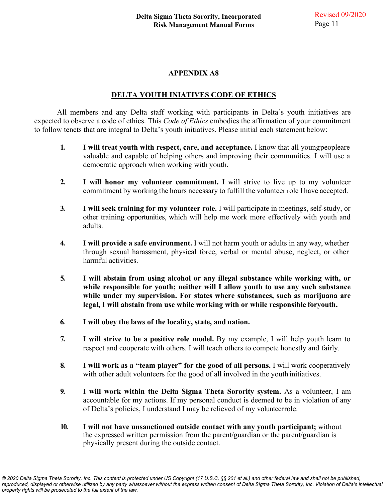#### **DELTA YOUTH INIATIVES CODE OF ETHICS**

All members and any Delta staff working with participants in Delta's youth initiatives are expected to observe a code of ethics. This *Code of Ethics* embodies the affirmation of your commitment to follow tenets that are integral to Delta's youth initiatives. Please initial each statement below:

- **1. I will treat youth with respect, care, and acceptance.** I know that all youngpeopleare valuable and capable of helping others and improving their communities. I will use a democratic approach when working with youth.
- **2. I will honor my volunteer commitment.** I will strive to live up to my volunteer commitment by working the hours necessary to fulfill the volunteer role I have accepted.
- **3. I will seek training for my volunteer role.** I will participate in meetings, self-study, or other training opportunities, which will help me work more effectively with youth and adults.
- **4. I will provide a safe environment.** I will not harm youth or adults in any way, whether through sexual harassment, physical force, verbal or mental abuse, neglect, or other harmful activities.
- **5. I will abstain from using alcohol or any illegal substance while working with, or while responsible for youth; neither will I allow youth to use any such substance while under my supervision. For states where substances, such as marijuana are legal, I will abstain from use while working with or while responsible foryouth.**
- **6. I will obey the laws of the locality, state, and nation.**
- **7. I will strive to be a positive role model.** By my example, I will help youth learn to respect and cooperate with others. I will teach others to compete honestly and fairly.
- **8. I will work as a "team player" for the good of all persons.** I will work cooperatively with other adult volunteers for the good of all involved in the youth initiatives.
- **9. I will work within the Delta Sigma Theta Sorority system.** As a volunteer, I am accountable for my actions. If my personal conduct is deemed to be in violation of any of Delta's policies, I understand I may be relieved of my volunteerrole.
- **10. I will not have unsanctioned outside contact with any youth participant;** without the expressed written permission from the parent/guardian or the parent/guardian is physically present during the outside contact.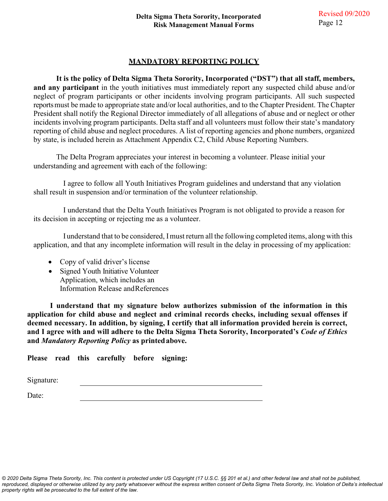#### **MANDATORY REPORTING POLICY**

**It is the policy of Delta Sigma Theta Sorority, Incorporated ("DST") that all staff, members, and any participant** in the youth initiatives must immediately report any suspected child abuse and/or neglect of program participants or other incidents involving program participants. All such suspected reports must be made to appropriate state and/or local authorities, and to the Chapter President. The Chapter President shall notify the Regional Director immediately of all allegations of abuse and or neglect or other incidents involving program participants. Delta staff and all volunteers must follow their state's mandatory reporting of child abuse and neglect procedures. A list of reporting agencies and phone numbers, organized by state, is included herein as Attachment Appendix C2, Child Abuse Reporting Numbers.

The Delta Program appreciates your interest in becoming a volunteer. Please initial your understanding and agreement with each of the following:

I agree to follow all Youth Initiatives Program guidelines and understand that any violation shall result in suspension and/or termination of the volunteer relationship.

I understand that the Delta Youth Initiatives Program is not obligated to provide a reason for its decision in accepting or rejecting me as a volunteer.

I understand that to be considered, I must return all the following completed items, along with this application, and that any incomplete information will result in the delay in processing of my application:

- Copy of valid driver's license
- Signed Youth Initiative Volunteer Application, which includes an Information Release andReferences

**I understand that my signature below authorizes submission of the information in this application for child abuse and neglect and criminal records checks, including sexual offenses if deemed necessary. In addition, by signing, I certify that all information provided herein is correct, and I agree with and will adhere to the Delta Sigma Theta Sorority, Incorporated's** *Code of Ethics*  **and** *Mandatory Reporting Policy* **as printed above.** 

**Please read this carefully before signing:** 

Signature:

Date: